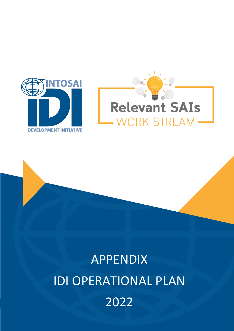



# **1 IDI OPERATIONAL PLAN 2022 APPENDIX** | RELEVANT SAIs WORK STREAM 2022APPENDIX IDI OPERATIONAL PLAN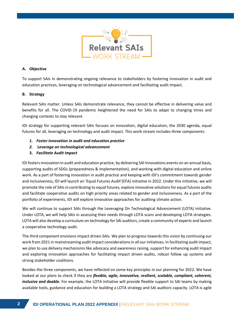

### **A. Objective**

To support SAIs in demonstrating ongoing relevance to stakeholders by fostering innovation in audit and education practices, leveraging on technological advancement and facilitating audit impact.

# **B. Strategy**

Relevant SAIs matter. Unless SAIs demonstrate relevance, they cannot be effective in delivering value and benefits for all. The COVID-19 pandemic heightened the need for SAIs to adapt to changing times and changing contexts to stay relevant.

IDI strategy for supporting relevant SAIs focuses on innovation, digital education, the 2030 agenda, equal futures for all, leveraging on technology and audit impact. This work stream includes three components:

- *1. Foster innovation in audit and education practice*
- *2. Leverage on technological advancement*
- **3.** *Facilitate Audit Impact*

IDI fostersinnovation in audit and education practice, by delivering SAI Innovations events on an annual basis, supporting audits of SDGs (preparedness & implementation), and working with digital education and online work. As a part of fostering innovation in audit practice and keeping with IDI's commitment towards gender and inclusiveness, IDI will launch an 'Equal Futures Audit'(EFA) initiative in 2022. Under this initiative, we will promote the role of SAIs in contributing to equal futures, explore innovative solutions for equal futures audits and facilitate cooperative audits on high priority areas related to gender and inclusiveness. As a part of the portfolio of experiments, IDI will explore innovative approaches for auditing climate action.

We will continue to support SAIs through the Leveraging On Technological Advancement (LOTA) initiative. Under LOTA, we will help SAIs in assessing their needs through LOTA scans and developing LOTA strategies. LOTA will also develop a curriculum on technology for SAI auditors, create a community of experts and launch a cooperative technology audit.

The third component envisions impact driven SAIs. We plan to progress towards this vision by continuing our work from 2021 in mainstreaming audit impact considerations in all our initiatives. In facilitating audit impact, we plan to use delivery mechanisms like advocacy and awareness raising, support for enhancing audit impact and exploring innovation approaches for facilitating impact driven audits, robust follow up systems and strong stakeholder coalitions.

Besides the three components, we have reflected on some key principles in our planning for 2022. We have looked at our plans to check if they are *flexible, agile, innovative, resilient, scalable, compliant, coherent, inclusive and doable.* For example, the LOTA initiative will provide flexible support to SAI teams by making available tools, guidance and education for building a LOTA strategy and SAI auditors capacity. LOTA is agile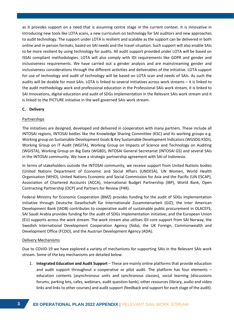as it provides support on a need that is assuming centre stage in the current context. It is innovative in introducing new tools like LOTA scans, a new curriculum on technology for SAI auditors and new approaches to audit technology. The support under LOTA is resilient and scalable as the support can be delivered in both online and in-person formats, based on SAI needs and the travel situation. Such support will also enable SAIs to be more resilient by using technology for audits. All audit support provided under LOTA will be based on ISSAI compliant methodologies. LOTA will also comply with IDI requirements like GDPR and gender and inclusiveness requirements. We have carried out a gender analysis and are mainstreaming gender and inclusiveness considerations through the different activities and deliverables of the initiative. LOTA support for use of technology and audit of technology will be based on LOTA scan and needs of SAIs. As such the audits will be doable for most SAIs. LOTA is linked to several initiatives across work streams – it is linked to the audit methodology work and professional education in the Professional SAIs work stream, it is linked to SAI Innovations, digital education and audit of SDGs implementation in the Relevant SAIs work stream and it is linked to the PICTURE initiative in the well governed SAIs work stream.

#### **C. Delivery**

#### Partnerships

The initiatives are designed, developed and delivered in cooperation with many partners. These include all INTOSAI regions, INTOSAI bodies like the Knowledge Sharing Committee (KSC) and its working groups e.g. Working group on Sustainable Development Goals & Key Sustainable Development Indicators(WGSDG KSDI), Working Group on IT Audit (WGITA), Working Group on Impacts of Science and Technology on Auditing (WGISTA), Working Group on Big Data (WGBD), INTOSAI General Secretariat (INTOSAI GS) and several SAIs in the INTOSAI community. We have a strategic partnership agreement with SAI of Indonesia.

In terms of stakeholders outside the INTOSAI community, we receive support from United Nations bodies (United Nations Department of Economic and Social Affairs (UNDESA), UN Women, World Health Organisation (WHO), United Nations Economic and Social Commission for Asia and the Pacific (UN ESCAP), Association of Chartered Accounts (ACCA), International Budget Partnership (IBP), World Bank, Open Contracting Partnership (OCP) and Partners for Review (P4R).

Federal Ministry for Economic Cooperation (BMZ) provides funding for the audit of SDGs implementation initiative through Deutsche Gesellschaft für Internationale Zusammenarbeit (GIZ); the Inter American Development Bank (IADB) contributes to cooperative audit of sustainable public procurement in OLACEFS; SAI Saudi Arabia provides funding for the audit of SDGs implementation initiative; and the European Union (EU) supports across the work stream. The work stream also utilises IDI core support from SAI Norway, the Swedish International Development Cooperation Agency (Sida), the UK Foreign, Commonwealth and Development Office (FCDO), and the Austrian Development Agency (ADA).

#### Delivery Mechanisms

Due to COVID-19 we have explored a variety of mechanisms for supporting SAIs in the Relevant SAIs work stream. Some of the key mechanisms are detailed below.

1. **Integrated Education and Audit Support** – These are mainly online platforms that provide education and audit support throughout a cooperative or pilot audit. The platform has four elements – education contents (asynchronous units and synchronous classes), social learning (discussions forums, parking lots, cafes, webinars, audit question bank), other resources (library, audio and video links and links to other courses) and audit support (feedback and support for each stage of the audit).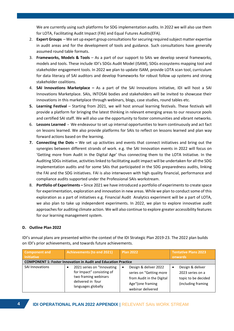We are currently using such platforms for SDG implementation audits. In 2022 we will also use them for LOTA, Facilitating Audit Impact (FAI) and Equal Futures Audits(EFA).

- 2. **Expert Groups** We set up expert group consultations for securing required subject matter expertise in audit areas and for the development of tools and guidance. Such consultations have generally assumed round table formats.
- 3. **Frameworks, Models & Tools** As a part of our support to SAIs we develop several frameworks, models and tools. These include IDI's SDGs Audit Model (ISAM), SDGs ecosystems mapping tool and stakeholder engagement tools. In 2022 we plan to update ISAM, provide LOTA scan tool, curriculum for data literacy of SAI auditors and develop frameworks for robust follow up systems and strong stakeholder coalitions.
- 4. **SAI Innovations Marketplace –** As a part of the SAI Innovations initiative, IDI will host a SAI Innovations Marketplace. SAIs, INTOSAI bodies and stakeholders will be invited to showcase their innovations in this marketplace through webinars, blogs, case studies, round tables etc.
- **5.** Learning Festival Starting from 2021, we will host annual learning festivals. These festivals will provide a platform for bringing the latest thinking in relevant emerging areas to our resource pools and certified SAI staff. We will also use the opportunity to foster communities and vibrant networks.
- 6. **Lessons Learned -** We endeavour to set up internal opportunities to learn continuously and act fact on lessons learned. We also provide platforms for SAIs to reflect on lessons learned and plan way forward actions based on the learning.
- **7. Connecting the Dots –** We set up activities and events that connect initiatives and bring out the synergies between different strands of work. e.g. the SAI Innovation events in 2022 will focus on 'Getting more from Audit in the Digital Age' thus connecting them to the LOTA Initiative. In the Auditing SDGs initiative, activities linked to facilitating audit impact will be undertaken for all the SDG implementation audits and for some SAIs that participated in the SDG preparedness audits, linking the FAI and the SDG initiatives. FAI is also interwoven with high quality financial, performance and compliance audits supported under the Professional SAIs workstream.
- 8. **Portfolio of Experiments –** Since 2021 we have introduced a portfolio of experiments to create space for experimentation, exploration and innovation in new areas. While we plan to conduct some of this exploration as a part of initiatives e.g. Financial Audit Analytics experiment will be a part of LOTA, we also plan to take up independent experiments. In 2022, we plan to explore innovative audit approaches for auditing climate action. We will also continue to explore greater accessibility features for our learning management system.

# **D. Outline Plan 2022**

| <b>Component and</b><br><b>Initiative</b> | <b>Achievements (to end 2021)</b>                                                                                          | <b>Plan 2022</b>                                                                                                       | <b>Tentative Plans 2023</b><br>onwards                                             |
|-------------------------------------------|----------------------------------------------------------------------------------------------------------------------------|------------------------------------------------------------------------------------------------------------------------|------------------------------------------------------------------------------------|
|                                           | <b>COMPONENT 1: Foster Innovation in Audit and Education Practice</b>                                                      |                                                                                                                        |                                                                                    |
| SAI Innovations                           | 2021 series on "Innovating<br>for Impact" consisting of<br>two framing webinars<br>delivered in four<br>languages globally | Design & deliver 2022<br>series on "Getting more<br>from Audit in the Digital<br>Age"(one framing<br>webinar delivered | Design & deliver<br>2023 series on a<br>topic to be decided<br>(including framing) |

IDI's annual plans are presented within the context of the IDI Strategic Plan 2019-23. The 2022 plan builds on IDI's prior achievements, and towards future achievements.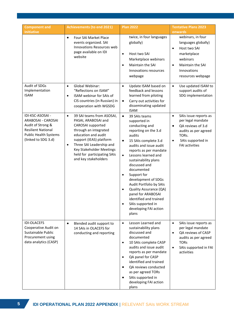| <b>Component and</b><br><b>Initiative</b>                                                                                                       | <b>Achievements (to end 2021)</b>                                                                                                                                                                                                                                                         | <b>Plan 2022</b>                                                                                                                                                                                                                                                                                                                                                                                                                                                                                                            | <b>Tentative Plans 2023</b><br>onwards                                                                                                                                                |
|-------------------------------------------------------------------------------------------------------------------------------------------------|-------------------------------------------------------------------------------------------------------------------------------------------------------------------------------------------------------------------------------------------------------------------------------------------|-----------------------------------------------------------------------------------------------------------------------------------------------------------------------------------------------------------------------------------------------------------------------------------------------------------------------------------------------------------------------------------------------------------------------------------------------------------------------------------------------------------------------------|---------------------------------------------------------------------------------------------------------------------------------------------------------------------------------------|
|                                                                                                                                                 | Four SAI Market Place<br>$\bullet$<br>events organized. SAI<br>Innovations Resources web<br>page available on IDI<br>website                                                                                                                                                              | twice, in four languages<br>globally)<br>Host two SAI<br>$\bullet$<br>Marketplace webinars<br><b>Maintain the SAI</b><br>$\bullet$<br>Innovations resources<br>webpage                                                                                                                                                                                                                                                                                                                                                      | webinars, in four<br>languages globally)<br>Host two SAI<br>$\bullet$<br>marketplace<br>webinars<br>Maintain the SAI<br>$\bullet$<br>Innovations<br>resources webpage                 |
| Audit of SDGs<br>Implementation<br><b>ISAM</b>                                                                                                  | Global Webinar:<br>$\bullet$<br>"Reflections on ISAM"<br>ISAM webinar for SAIs of<br>$\bullet$<br>CIS countries (in Russian) in<br>cooperation with WGSDG                                                                                                                                 | $\bullet$<br>Update ISAM based on<br>feedback and lessons<br>learned from piloting<br>Carry out activities for<br>$\bullet$<br>disseminating updated<br><b>ISAM</b>                                                                                                                                                                                                                                                                                                                                                         | Use updated ISAM to<br>$\bullet$<br>support audits of<br>SDG implementation                                                                                                           |
| IDI-KSC-ASOSAI -<br>ARABOSAI - CAROSAI<br>Audit of Strong &<br><b>Resilient National</b><br><b>Public Health Systems</b><br>(linked to SDG 3.d) | 39 SAI teams from ASOSAI,<br>$\bullet$<br>PASAI, ARABOSAI and<br>CAROSAI supported<br>through an integrated<br>education and audit<br>support (IEAS) platform<br>Three SAI Leadership and<br>$\bullet$<br>Key Stakeholder Meetings<br>held for participating SAIs<br>and key stakeholders | $\bullet$<br>39 SAIs teams<br>supported in<br>conducting and<br>reporting on the 3.d<br>audits<br>15 SAIs complete 3.d<br>$\bullet$<br>audits and issue audit<br>reports as per mandate<br>Lessons learned and<br>$\bullet$<br>sustainability plans<br>discussed and<br>documented<br>Support for<br>$\bullet$<br>development of SDGs<br>Audit Portfolio by SAIs<br>Quality Assurance (QA)<br>$\bullet$<br>panel for ARABOSAI<br>identified and trained<br>SAIs supported in<br>$\bullet$<br>developing FAI action<br>plans | SAIs issue reports as<br>$\bullet$<br>per legal mandate<br>QA reviews of 3.d<br>$\bullet$<br>audits as per agreed<br>TORs.<br>SAIs supported in<br>$\bullet$<br><b>FAI activities</b> |
| <b>IDI-OLACEFS</b><br>Cooperative Audit on<br>Sustainable Public<br>Procurement using<br>data analytics (CASP)                                  | Blended audit support to<br>$\bullet$<br>14 SAIs in OLACEFS for<br>conducting and reporting                                                                                                                                                                                               | Lesson Learned and<br>$\bullet$<br>sustainability plans<br>discussed and<br>documented<br>10 SAIs complete CASP<br>$\bullet$<br>audits and issue audit<br>reports as per mandate<br>QA panel for CASP<br>٠<br>identified and trained<br>QA reviews conducted<br>$\bullet$<br>as per agreed TORs<br>SAIs supported in<br>developing FAI action<br>plans                                                                                                                                                                      | $\bullet$<br>SAIs issue reports as<br>per legal mandate<br>QA reviews of CASP<br>$\bullet$<br>audits as per agreed<br><b>TORs</b><br>SAIs supported in FAI<br>$\bullet$<br>activities |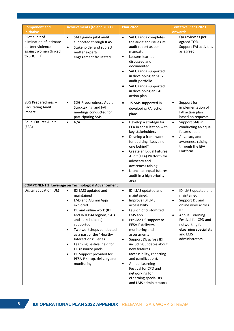| <b>Component and</b><br><b>Initiative</b>                                                             | <b>Achievements (to end 2021)</b>                                                                                                                                                                                                                                                                                                                                                                                      | <b>Plan 2022</b>                                                                                                                                                                                                                                                                                                                                                                                                                                                                                                     | <b>Tentative Plans 2023</b><br>onwards                                                                                                                                                                                                            |
|-------------------------------------------------------------------------------------------------------|------------------------------------------------------------------------------------------------------------------------------------------------------------------------------------------------------------------------------------------------------------------------------------------------------------------------------------------------------------------------------------------------------------------------|----------------------------------------------------------------------------------------------------------------------------------------------------------------------------------------------------------------------------------------------------------------------------------------------------------------------------------------------------------------------------------------------------------------------------------------------------------------------------------------------------------------------|---------------------------------------------------------------------------------------------------------------------------------------------------------------------------------------------------------------------------------------------------|
| Pilot audit of<br>elimination of intimate<br>partner violence<br>against women (linked<br>to SDG 5.2) | SAI Uganda pilot audit<br>$\bullet$<br>supported through IEAS<br>Stakeholder and subject<br>$\bullet$<br>matter experts<br>engagement facilitated                                                                                                                                                                                                                                                                      | SAI Uganda completes<br>$\bullet$<br>the audit and issues its<br>audit report as per<br>mandate<br>Lessons learned<br>$\bullet$<br>discussed and<br>documented<br>SAI Uganda supported<br>$\bullet$<br>in developing an SDG<br>audit portfolio<br>SAI Uganda supported<br>in developing an FAI<br>action plan                                                                                                                                                                                                        | QA review as per<br>agreed TOR.<br>Support FAI activities<br>as agreed                                                                                                                                                                            |
| SDG Preparedness -<br><b>Facilitating Audit</b><br>Impact                                             | <b>SDG Preparedness Audit</b><br>$\bullet$<br>Stocktaking, and FAI<br>meetings conducted for<br>participating SAIs                                                                                                                                                                                                                                                                                                     | 15 SAIs supported in<br>$\bullet$<br>developing FAI action<br>plans                                                                                                                                                                                                                                                                                                                                                                                                                                                  | Support for<br>$\bullet$<br>implementation of<br>FAI action plan<br>based on requests                                                                                                                                                             |
| <b>Equal Futures Audit</b><br>(EFA)                                                                   | N/A<br>$\bullet$                                                                                                                                                                                                                                                                                                                                                                                                       | Develop a strategy for<br>$\bullet$<br>EFA in consultation with<br>key stakeholders<br>Develop a framework<br>$\bullet$<br>for auditing "Leave no<br>one behind"<br>Create an Equal Futures<br>$\bullet$<br>Audit (EFA) Platform for<br>advocacy and<br>awareness raising<br>Launch an equal futures<br>$\bullet$<br>audit in a high priority<br>area                                                                                                                                                                | Support SAIs in<br>$\bullet$<br>conducting an equal<br>futures audit<br>Advocacy and<br>$\bullet$<br>awareness raising<br>through the EFA<br>Platform                                                                                             |
|                                                                                                       | <b>COMPONENT 2: Leverage on Technological Advancement</b>                                                                                                                                                                                                                                                                                                                                                              |                                                                                                                                                                                                                                                                                                                                                                                                                                                                                                                      |                                                                                                                                                                                                                                                   |
| Digital Education (DE)                                                                                | IDI LMS updated and<br>$\bullet$<br>maintained<br>LMS and Alumni Apps<br>explored<br>DE and online work (IDI<br>$\bullet$<br>and INTOSAI regions, SAIs<br>and stakeholders)<br>supported<br>Two workshops conducted<br>$\bullet$<br>as a part of the "Healthy<br><b>Interactions" Series</b><br>Learning Festival held for<br>DE resource pools<br>DE Support provided for<br>PESA-P setup, delivery and<br>monitoring | IDI LMS updated and<br>$\bullet$<br>maintained.<br>$\bullet$<br>Improve IDI LMS<br>accessibility<br>Launch of customized<br>$\bullet$<br>LMS app<br>Provide DE support to<br>$\bullet$<br>PESA-P delivery,<br>monitoring and<br>assessments<br>Support DE across IDI,<br>$\bullet$<br>including updates about<br>new features<br>(accessibility, reporting<br>and gamification).<br><b>Annual Learning</b><br>$\bullet$<br>Festival for CPD and<br>networking for<br>eLearning specialists<br>and LMS administrators | IDI LMS updated and<br>$\bullet$<br>maintained<br>$\bullet$<br>Support DE and<br>online work across<br>IDI<br><b>Annual Learning</b><br>$\bullet$<br>Festival for CPD and<br>networking for<br>eLearning specialists<br>and LMS<br>administrators |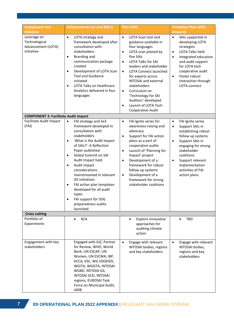| <b>Component and</b><br><b>Initiative</b>                        | <b>Achievements (to end 2021)</b>                                                                                                                                                                                                                                                                                                                                                                                                                                                                      | <b>Plan 2022</b>                                                                                                                                                                                                                                                                                                                                                                                                                                         | <b>Tentative Plans 2023</b><br>onwards                                                                                                                                                                                                                                         |
|------------------------------------------------------------------|--------------------------------------------------------------------------------------------------------------------------------------------------------------------------------------------------------------------------------------------------------------------------------------------------------------------------------------------------------------------------------------------------------------------------------------------------------------------------------------------------------|----------------------------------------------------------------------------------------------------------------------------------------------------------------------------------------------------------------------------------------------------------------------------------------------------------------------------------------------------------------------------------------------------------------------------------------------------------|--------------------------------------------------------------------------------------------------------------------------------------------------------------------------------------------------------------------------------------------------------------------------------|
| Leverage on<br>Technological<br>Advancement (LOTA)<br>initiative | LOTA strategy and<br>$\bullet$<br>framework developed after<br>consultation with<br>stakeholders<br><b>Branding and</b><br>$\bullet$<br>communication package<br>created<br>Development of LOTA Scan<br>$\bullet$<br><b>Tool and Guidance</b><br>initiated<br><b>LOTA Talks on Healthcare</b><br>$\bullet$<br>Analytics delivered in four<br>languages                                                                                                                                                 | LOTA Scan tool and<br>$\bullet$<br>guidance available in<br>four languages<br>LOTA scan piloted by<br>$\bullet$<br>five SAIs<br><b>LOTA Talks for SAI</b><br>$\bullet$<br>leaders and stakeholder<br><b>LOTA Connect launched</b><br>$\bullet$<br>for experts across<br><b>INTOSAI</b> and external<br>stakeholders<br>Curriculum on<br>$\bullet$<br>'Technology for SAI<br>Auditors' developed<br>Launch of LOTA Tech<br>$\bullet$<br>Cooperative Audit | SAIs supported in<br>$\bullet$<br>developing LOTA<br>strategies<br><b>LOTA Talks held</b><br>$\bullet$<br>Integrated education<br>$\bullet$<br>and audit support<br>for LOTA tech<br>cooperative audit<br>Foster robust<br>$\bullet$<br>interaction through<br>LOTA connect    |
| <b>COMPONENT 3: Facilitate Audit Impact</b>                      |                                                                                                                                                                                                                                                                                                                                                                                                                                                                                                        |                                                                                                                                                                                                                                                                                                                                                                                                                                                          |                                                                                                                                                                                                                                                                                |
| Facilitate Audit Impact<br>(FAI)                                 | FAI strategy and 3x3<br>$\bullet$<br>framework developed in<br>consultation with<br>stakeholders<br>'What is the Audit Impact<br>$\bullet$<br>of SAIs?': A Reflection<br>Paper published<br><b>Global Summit on SAI</b><br>$\bullet$<br>Audit Impact held<br>Audit impact<br>$\bullet$<br>considerations<br>mainstreamed in relevant<br><b>IDI</b> initiatives<br>FAI action plan templates<br>$\bullet$<br>developed for all audit<br>types<br>FAI support for SDG<br>preparedness audits<br>launched | FAI Ignite series for<br>$\bullet$<br>awareness-raising and<br>advocacy<br>Support for FAI action<br>$\bullet$<br>plans as a part of<br>cooperative audits<br>Launch of 'Planning for<br>$\bullet$<br>Impact' project<br>Development of a<br>$\bullet$<br>framework for robust<br>follow up systems<br>Development of a<br>$\bullet$<br>framework for strong<br>stakeholder coalitions                                                                   | FAI Ignite series<br>$\bullet$<br>Support SAIs in<br>$\bullet$<br>establishing robust<br>follow up systems<br>Support SAIs in<br>$\bullet$<br>engaging for strong<br>stakeholder<br>coalitions<br>Support relevant<br>٠<br>implementation<br>activities of FAI<br>action plans |
| <b>Cross cutting</b>                                             |                                                                                                                                                                                                                                                                                                                                                                                                                                                                                                        |                                                                                                                                                                                                                                                                                                                                                                                                                                                          |                                                                                                                                                                                                                                                                                |
| Portfolio of<br>Experiments                                      | N/A<br>$\bullet$                                                                                                                                                                                                                                                                                                                                                                                                                                                                                       | Explore innovative<br>approaches for<br>auditing climate<br>action                                                                                                                                                                                                                                                                                                                                                                                       | <b>TBD</b>                                                                                                                                                                                                                                                                     |
| Engagement with key<br>stakeholders                              | Engaged with GIZ, Partner<br>for Review, WHO, World<br>Bank, UN ESCAP, UN<br>Women, UN ESCWA, IBP,<br>ACCA, KSC, WG SDGKSDI,<br>WGITA, WGISTA, INTOSAI<br>WGBD, INTOSAI GS,<br>INTOSAI SCEI, INTOSAI<br>regions, EUROSAI Task<br>Force on Municipal Audit,<br><b>IADB</b>                                                                                                                                                                                                                              | Engage with relevant<br>$\bullet$<br>INTOSAI bodies, regions<br>and key stakeholders                                                                                                                                                                                                                                                                                                                                                                     | Engage with relevant<br>$\bullet$<br>INTOSAI bodies,<br>regions and key<br>stakeholders                                                                                                                                                                                        |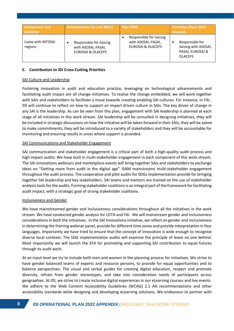| <b>Component and</b><br><b>Initiative</b> | <b>Achievements (to end 2021)</b>                                               | Plan 2022                                                                       | <b>Tentative Plans 2023</b><br>onwards                                         |
|-------------------------------------------|---------------------------------------------------------------------------------|---------------------------------------------------------------------------------|--------------------------------------------------------------------------------|
| Liaise with INTOSAI<br>regions            | Responsible for liaising<br>with ASOSAI, PASAI,<br><b>EUROSAI &amp; OLACEFS</b> | Responsible for liaising<br>with ASOSAI, PASAI,<br><b>EUROSAI &amp; OLACEFS</b> | Responsible for<br>liaising with ASOSAI,<br>PASAI, EUROSAI &<br><b>OLACEFS</b> |

#### **E. Contribution to IDI Cross-Cutting Priorities**

#### SAI Culture and Leadership

Fostering innovation in audit and education practice, leveraging on technological advancements and facilitating audit impact are all change initiatives. To realise the change embedded, we will work together with SAIs and stakeholders to facilitate a move towards creating enabling SAI cultures. For instance, in FAI , IDI will continue to reflect on how to support an impact driven culture in SAIs. The key driver of change in any SAI is the leadership. As can be seen from this plan, engagement with SAI leadership is planned at each stage of all initiatives in this work stream. SAI leadership will be consulted in designing initiatives, they will be included in strategic discussions on how the initiative will be taken forward in their SAIs, they will be asked to make commitments, they will be introduced to a variety of stakeholders and they will be accountable for monitoring and ensuring results in areas where support is provided.

#### SAI Communications and Stakeholder Engagement

SAI communication and stakeholder engagement is a critical part of both a high-quality audit process and high impact audits. We have built in multi-stakeholder engagement in each component of this work stream. The SAI Innovations webinars and marketplace events will bring together SAIs and stakeholders to exchange ideas on "Getting more from audit in the digital age". ISAM mainstreams multi-stakeholder engagement throughout the audit process. The cooperative and pilot audits for SDGs implementation provide for bringing together SAI leadership and key stakeholders. SAI teams and mentors are trained on the use of stakeholder analysis tools for the audits. Forming stakeholder coalitions is an integral part of the framework for facilitating audit impact, with a strategic goal of strong stakeholder coalitions.

#### Inclusiveness and Gender

We have mainstreamed gender and inclusiveness considerations throughout all the initiatives in the work stream. We have conducted gender analysis for LOTA and FAI. We will mainstream gender and inclusiveness considerationsin both the initiatives. In the SAI Innovations initiative, we reflect on gender and inclusiveness in determining the framing webinar panel, provide for different time zones and provide interpretation in four languages. Importantly we have tried to ensure that the concept of innovation is wide enough to recognise diverse local contexts. The SDG implementation audits will examine the principle of leave no one behind. Most importantly we will launch the EFA for promoting and supporting SAI contribution to equal futures through its audit work.

At an input level we try to include both men and women in the planning process for initiatives. We strive to have gender balanced teams of experts and resource persons, to provide for equal opportunities and to balance perspectives. The visual and verbal guides for creating digital education, respect and promote diversity, refrain from gender stereotypes, and take into consideration needs of participants across geographies. At IDI, we strive to create inclusive digital experiences in our eLearning courses and live events. We adhere to the Web Content Accessibility Guidelines (WCAG) 2.1 AA recommendations and other accessibility standards while designing and developing eLearning solutions. We endeavour to partner with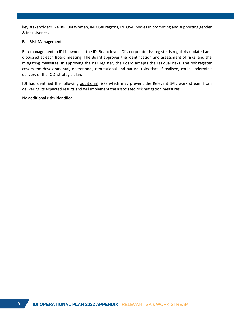key stakeholders like IBP, UN Women, INTOSAI regions, INTOSAI bodies in promoting and supporting gender & inclusiveness.

#### **F. Risk Management**

Risk management in IDI is owned at the IDI Board level. IDI's corporate risk register is regularly updated and discussed at each Board meeting. The Board approves the identification and assessment of risks, and the mitigating measures. In approving the risk register, the Board accepts the residual risks. The risk register covers the developmental, operational, reputational and natural risks that, if realised, could undermine delivery of the IODI strategic plan.

IDI has identified the following additional risks which may prevent the Relevant SAIs work stream from delivering its expected results and will implement the associated risk mitigation measures.

No additional risks identified.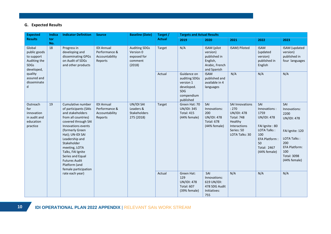# **G. Expected Results**

| <b>Expected</b>                                                                   | <b>Indica</b> | <b>Indicator Definition</b>                                                                                                                                                                                                                                                                                                                                                                                                               | <b>Source</b>                                                   | <b>Baseline (Date)</b>                                                | Target /                                                                 | <b>Targets and Actual Results</b>                                                                |                                                                                                                                       |                                                                                                                                                               |                                                                                                                                                                 |                                                             |
|-----------------------------------------------------------------------------------|---------------|-------------------------------------------------------------------------------------------------------------------------------------------------------------------------------------------------------------------------------------------------------------------------------------------------------------------------------------------------------------------------------------------------------------------------------------------|-----------------------------------------------------------------|-----------------------------------------------------------------------|--------------------------------------------------------------------------|--------------------------------------------------------------------------------------------------|---------------------------------------------------------------------------------------------------------------------------------------|---------------------------------------------------------------------------------------------------------------------------------------------------------------|-----------------------------------------------------------------------------------------------------------------------------------------------------------------|-------------------------------------------------------------|
| <b>Results</b>                                                                    | tor<br>No.    |                                                                                                                                                                                                                                                                                                                                                                                                                                           |                                                                 |                                                                       | <b>Actual</b>                                                            | 2019                                                                                             | 2020                                                                                                                                  | 2021                                                                                                                                                          | 2022                                                                                                                                                            | 2023                                                        |
| Global<br>public goods<br>to support<br>Auditing the<br><b>SDGs</b><br>developed, | 18            | Progress in<br>developing and<br>disseminating GPGs<br>on Audit of SDGs<br>and other products                                                                                                                                                                                                                                                                                                                                             | <b>IDI Annual</b><br>Performance &<br>Accountability<br>Reports | <b>Auditing SDGs</b><br>Version 0<br>exposed for<br>comment<br>(2018) | Target                                                                   | N/A                                                                                              | ISAM (pilot<br>version)<br>published in<br>English,<br>Arabic, French<br>and Spanish                                                  | ISAM) Piloted                                                                                                                                                 | <b>ISAM</b><br>(updated<br>version)<br>published in<br>English                                                                                                  | ISAM (updated<br>version)<br>published in<br>four languages |
| quality<br>assured and<br>disseminate<br>d                                        |               |                                                                                                                                                                                                                                                                                                                                                                                                                                           |                                                                 |                                                                       | Actual                                                                   | Guidance on<br>auditing SDGs<br>version 1<br>developed.<br><b>SDG</b><br>compendium<br>published | <b>ISAM</b><br>published and<br>available in 4<br>languages                                                                           | N/A                                                                                                                                                           | N/A                                                                                                                                                             | N/A                                                         |
| Outreach<br>for<br>innovation<br>in audit and<br>education<br>practice            | 19            | Cumulative number<br>UN/IDI SAI<br><b>IDI Annual</b><br>Leaders &<br>of participants (SAIs<br>Performance &<br>Stakeholders<br>and stakeholders<br>Accountability<br>from all countries)<br>275 (2018)<br>Reports<br>covered through SAI<br>Innovations events<br>(formerly Green<br>Hat); UN-IDI SAI<br>Leadership and<br>Stakeholder<br>meeting, LOTA<br>Talks, FAI Ignite<br>Series and Equal<br><b>Futures Audit</b><br>Platform (and |                                                                 | Target                                                                | Green Hat: 70<br><b>UN/IDI: 345</b><br><b>Total: 415</b><br>(44% female) | SAI<br>Innovations:<br>200<br><b>UN/IDI: 478</b><br><b>Total: 678</b><br>(44% female)            | <b>SAI Innovations</b><br>: 270<br><b>UN/IDI: 478</b><br><b>Total: 748</b><br>Healthy<br>Interactions<br>Series: 50<br>LOTA Talks: 30 | SAI<br>Innovations:<br>1759<br><b>UN/IDI: 478</b><br>FAI Ignite: 80<br><b>LOTA Talks:</b><br>100<br><b>EFA Platform:</b><br>50<br>Total: 2467<br>(44% female) | SAI<br>Innovations:<br>2200<br><b>UN/IDI: 478</b><br>FAI Ignite: 120<br>LOTA Talks:<br>200<br><b>EFA Platform:</b><br>100<br><b>Total: 3098</b><br>(44% female) |                                                             |
|                                                                                   |               | female participation<br>rate each year)                                                                                                                                                                                                                                                                                                                                                                                                   |                                                                 |                                                                       | Actual                                                                   | Green Hat:<br>129<br><b>UN/IDI: 478</b><br><b>Total: 607</b><br>(39% female)                     | SAI<br>Innovations:<br>619 UN/IDI:<br>478 SDG Audit<br>Initiatives:<br>755                                                            | N/A                                                                                                                                                           | N/A                                                                                                                                                             | N/A                                                         |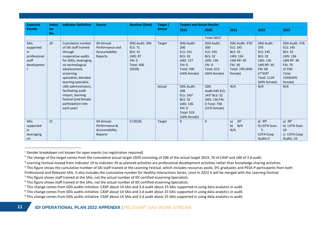| <b>Expected</b>                                                 | <b>Indica</b> | <b>Indicator Definition</b>                                                                                                                                                                         | <b>Source</b>                                                     | <b>Baseline (Date)</b>                                                                                        | Target /      | <b>Targets and Actual Results</b>                                                                                              |                                                                                                                          |                                                                                                                                            |                                                                                                                                                                                     |                                                                                                                                            |
|-----------------------------------------------------------------|---------------|-----------------------------------------------------------------------------------------------------------------------------------------------------------------------------------------------------|-------------------------------------------------------------------|---------------------------------------------------------------------------------------------------------------|---------------|--------------------------------------------------------------------------------------------------------------------------------|--------------------------------------------------------------------------------------------------------------------------|--------------------------------------------------------------------------------------------------------------------------------------------|-------------------------------------------------------------------------------------------------------------------------------------------------------------------------------------|--------------------------------------------------------------------------------------------------------------------------------------------|
| <b>Results</b>                                                  | tor<br>No.    |                                                                                                                                                                                                     |                                                                   |                                                                                                               | <b>Actual</b> | 2019                                                                                                                           | 2020                                                                                                                     | 2021                                                                                                                                       | 2022                                                                                                                                                                                | 2023                                                                                                                                       |
|                                                                 |               |                                                                                                                                                                                                     |                                                                   |                                                                                                               |               |                                                                                                                                | Total: 1852 <sup>1</sup>                                                                                                 |                                                                                                                                            |                                                                                                                                                                                     |                                                                                                                                            |
| SAIs<br>supported<br>in.<br>professional<br>staff<br>developmen | 20            | Cumulative number<br>of SAI staff trained<br>through<br>cooperative audits<br>for SDGs, leveraging<br>on technological<br>advancement,<br>eLearning<br>specialists, blended<br>learning specialist, | <b>IDI Annual</b><br>Performance and<br>Accountability<br>Reports | SDG Audit: 206<br><b>ELS: 71</b><br><b>BLS: 32</b><br><b>LMS: 97</b><br>FAI: 0<br><b>Total: 406</b><br>(2018) | Target        | <b>SDG Audit:</b><br>206<br>ELS: 141<br><b>BLS: 32</b><br>LMS: 127<br>FAI: 0<br><b>Total: 506</b><br>(44% female)              | <b>SDG Audit:</b><br>300<br>ELS: 145<br><b>BLS: 32</b><br>LMS: 136<br><b>FAI: 0</b><br><b>Total: 613</b><br>(44% female) | SDG Audit: 376 <sup>2</sup><br>ELS: 145<br><b>BLS: 32</b><br>LMS: 136<br><b>LMS RP: 30</b><br><b>FAI: 30</b><br>Total: 749 (44%<br>female) | <b>SDG Audit:</b><br>376<br>ELS: 145<br><b>BLS: 32</b><br>LMS: 136<br><b>LMS RP: 30</b><br><b>FAI: 60</b><br>LF <sup>3</sup> 350 <sup>4</sup><br><b>Total: 1129</b><br>(44% female) | SDG Audit: 376<br>ELS: 145<br><b>BLS: 32</b><br>LMS: 136<br><b>LMS RP: 30</b><br><b>FAI: 70</b><br>LF:550<br>Total:<br>1339(44%<br>female) |
|                                                                 |               | LMS administrators,<br>facilitating audit<br>impact, learning<br>festival (and female<br>participation rate<br>each year)                                                                           |                                                                   |                                                                                                               | Actual        | <b>SDG Audit:</b><br>206<br>ELS: 145 <sup>5</sup><br><b>BLS: 32</b><br>LMS: 136<br>FAI: 0<br><b>Total: 519</b><br>(34% female) | <b>SDG</b><br>Audit: 445 ELS:<br>1456 BLS: 32<br>LMS: 136 FAI:<br>0 Total: 758<br>(51% female)                           | N/A                                                                                                                                        | N/A                                                                                                                                                                                 | N/A                                                                                                                                        |
| <b>SAIS</b><br>supported<br>in.<br>leveraging<br>on             | 21            |                                                                                                                                                                                                     | <b>IDI Annual</b><br>Performance &<br>Accountability<br>Reports   | 0(2018)                                                                                                       | Target        | $\mathbf{0}$                                                                                                                   | $\Omega$                                                                                                                 | 397<br>a)<br>b)<br>N/A<br>N/A                                                                                                              | a) $398$<br>b) LOTA Scan:<br>5<br><b>LOTA Coop</b><br>Audits:5                                                                                                                      | a) $39^9$<br>b) LOTA Scan:<br>10<br>c) LOTA Coop<br>Audits: 10                                                                             |

<sup>&</sup>lt;sup>1</sup> Gender breakdown not known for open events (no registration required)

 $^2$  The change of the target comes from the cumulative actual target 2020 consisting of 206 of the actual target 2019, 70 of CASP and 100 of 3.d audit.

 $3$  Learning Festival moved from indicator 19 to indicator 20 as planned activities are professional development activities rather than knowledge sharing activities.

<sup>&</sup>lt;sup>4</sup> This figure shows the cumulative number of SAI staff trained at the Learning Festival, which includes resources pools, SYL graduates and PESA-P participants from both

Professional and Relevant SAIs. It also includes the cumulative number for Healthy Interactions Series, since in 2022 it will be merged with the Learning Festival

<sup>&</sup>lt;sup>5</sup> This figure shows staff trained at the SAIs, not the actual number of IDI certified eLearning Specialists.

 $6$  This figure shows staff trained at the SAIs, not the actual number of IDI certified eLearning Specialists.

 $^7$  This change comes from SDG audits initiative: CASP about 14 SAIs and 3.d audit about 25 SAIs supported in using data analytics in audit.

<sup>&</sup>lt;sup>8</sup> This change comes from SDG audits initiative: CASP about 14 SAIs and 3.d audit about 25 SAIs supported in using data analytics in audit.

<sup>&</sup>lt;sup>9</sup> This change comes from SDG audits initiative: CASP about 14 SAIs and 3.d audit about 25 SAIs supported in using data analytics in audit.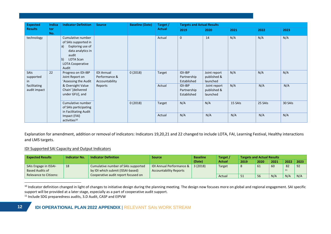| <b>Expected</b>              | Indica     | <b>Indicator Definition</b>                                                                                                                                          | <b>Source</b>                                        | <b>Baseline (Date)</b> | Target /      | <b>Targets and Actual Results</b>     |                                         |         |         |         |
|------------------------------|------------|----------------------------------------------------------------------------------------------------------------------------------------------------------------------|------------------------------------------------------|------------------------|---------------|---------------------------------------|-----------------------------------------|---------|---------|---------|
| <b>Results</b>               | tor<br>No. |                                                                                                                                                                      |                                                      |                        | <b>Actual</b> | 2019                                  | 2020                                    | 2021    | 2022    | 2023    |
| technology                   |            | Cumulative number<br>of SAIs supported in<br>Exploring use of<br>a)<br>data analytics in<br>audit<br>  <sub>b</sub><br>LOTA Scan<br><b>LOTA Cooperative</b><br>Audit |                                                      |                        | Actual        | $\mathbf 0$                           | 14                                      | N/A     | N/A     | N/A     |
| SAIs<br>supported<br>in      | 22         | Progress on IDI-IBP<br>Joint Report on<br>'Assessing the Audit                                                                                                       | <b>IDI Annual</b><br>Performance &<br>Accountability | 0(2018)                | Target        | IDI-IBP<br>Partnership<br>Established | Joint report<br>published &<br>launched | N/A     | N/A     | N/A     |
| facilitating<br>audit impact |            | & Oversight Value<br>Chain' [delivered<br>under GFU], and                                                                                                            | Reports                                              |                        | Actual        | IDI-IBP<br>Partnership<br>Established | Joint report<br>published &<br>launched | N/A     | N/A     | N/A     |
|                              |            | Cumulative number<br>of SAIs participating<br>in Facilitating Audit                                                                                                  |                                                      | 0(2018)                | Target        | N/A                                   | N/A                                     | 15 SAIs | 25 SAIs | 30 SAIs |
|                              |            | Impact (FAI)<br>activities <sup>10</sup>                                                                                                                             |                                                      |                        | Actual        | N/A                                   | N/A                                     | N/A     | N/A     | N/A     |

Explanation for amendment, addition or removal of indicators: Indicators 19,20,21 and 22 changed to include LOTA, FAI, Learning Festival, Healthy interactions and LMS targets.

# IDI Supported SAI Capacity and Output Indicators

| <b>Expected Results</b>                         | <b>Indicator No.</b> | <b>Indicator Definition</b>                                              | <b>Source</b>                                             | <b>Baseline</b> | Target /      | <b>Targets and Actual Results</b> |      |      |          |      |
|-------------------------------------------------|----------------------|--------------------------------------------------------------------------|-----------------------------------------------------------|-----------------|---------------|-----------------------------------|------|------|----------|------|
|                                                 |                      |                                                                          |                                                           | (Date)          | <b>Actual</b> | 2019                              | 2020 | 2021 | 2022     | 2023 |
| SAIs Engage in ISSAI-<br><b>Based Audits of</b> | 18                   | Cumulative number of SAIs supported<br>by IDI which submit (ISSAI-based) | IDI Annual Performance &<br><b>Accountability Reports</b> | 3(2018)         | Target        |                                   | 61   | 60   | 82<br>11 | 92   |
| <b>Relevance to Citizens:</b>                   |                      | Cooperative audit report focused on                                      |                                                           |                 | Actual        | ۔ ب                               | 56   | N/A  | N/A      | N/A  |

10 Indicator definition changed in light of changes to initiative design during the planning meeting. The design now focuses more on global and regional engagement. SAI specific support will be provided at a later stage, especially as a part of cooperative audit support.

<sup>11</sup> Include SDG preparedness audits, 3.D Audit, CASP and EIPVW